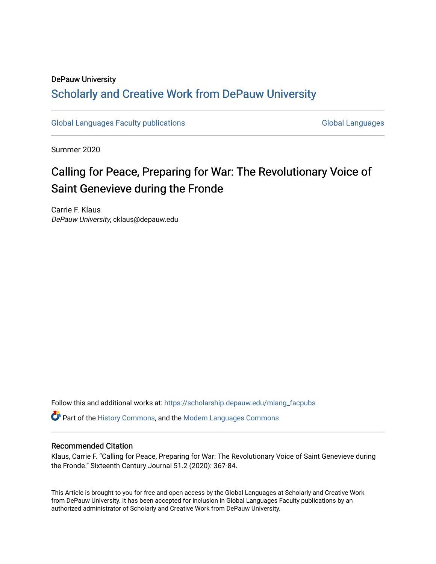#### DePauw University

### Scholarly and [Creative Work from DePauw Univ](https://scholarship.depauw.edu/)ersity

[Global Languages Faculty publications](https://scholarship.depauw.edu/mlang_facpubs) [Global Languages](https://scholarship.depauw.edu/modernlanguages) Global Languages

Summer 2020

# Calling for Peace, Preparing for War: The Revolutionary Voice of Saint Genevieve during the Fronde

Carrie F. Klaus DePauw University, cklaus@depauw.edu

Follow this and additional works at: [https://scholarship.depauw.edu/mlang\\_facpubs](https://scholarship.depauw.edu/mlang_facpubs?utm_source=scholarship.depauw.edu%2Fmlang_facpubs%2F84&utm_medium=PDF&utm_campaign=PDFCoverPages)

Part of the [History Commons,](https://network.bepress.com/hgg/discipline/489?utm_source=scholarship.depauw.edu%2Fmlang_facpubs%2F84&utm_medium=PDF&utm_campaign=PDFCoverPages) and the [Modern Languages Commons](https://network.bepress.com/hgg/discipline/1130?utm_source=scholarship.depauw.edu%2Fmlang_facpubs%2F84&utm_medium=PDF&utm_campaign=PDFCoverPages) 

#### Recommended Citation

Klaus, Carrie F. "Calling for Peace, Preparing for War: The Revolutionary Voice of Saint Genevieve during the Fronde." Sixteenth Century Journal 51.2 (2020): 367-84.

This Article is brought to you for free and open access by the Global Languages at Scholarly and Creative Work from DePauw University. It has been accepted for inclusion in Global Languages Faculty publications by an authorized administrator of Scholarly and Creative Work from DePauw University.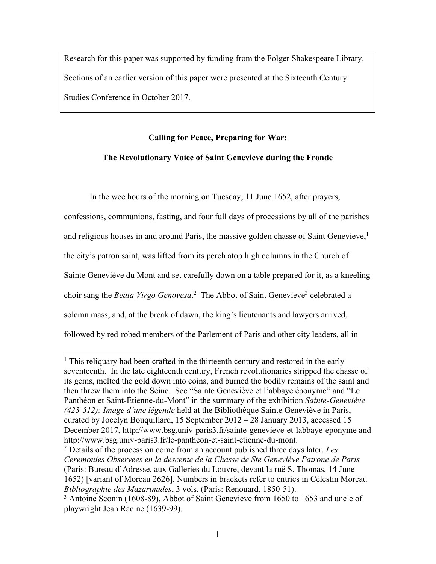Research for this paper was supported by funding from the Folger Shakespeare Library. Sections of an earlier version of this paper were presented at the Sixteenth Century Studies Conference in October 2017.

## **Calling for Peace, Preparing for War: The Revolutionary Voice of Saint Genevieve during the Fronde**

In the wee hours of the morning on Tuesday, 11 June 1652, after prayers, confessions, communions, fasting, and four full days of processions by all of the parishes and religious houses in and around Paris, the massive golden chasse of Saint Genevieve, 1 the city's patron saint, was lifted from its perch atop high columns in the Church of Sainte Geneviève du Mont and set carefully down on a table prepared for it, as a kneeling choir sang the *Beata Virgo Genovesa*.<sup>2</sup> The Abbot of Saint Genevieve<sup>3</sup> celebrated a solemn mass, and, at the break of dawn, the king's lieutenants and lawyers arrived, followed by red-robed members of the Parlement of Paris and other city leaders, all in

<sup>&</sup>lt;sup>1</sup> This reliquary had been crafted in the thirteenth century and restored in the early seventeenth. In the late eighteenth century, French revolutionaries stripped the chasse of its gems, melted the gold down into coins, and burned the bodily remains of the saint and then threw them into the Seine. See "Sainte Geneviève et l'abbaye éponyme" and "Le Panthéon et Saint-Étienne-du-Mont" in the summary of the exhibition *Sainte-Geneviève (423-512): Image d'une légende* held at the Bibliothèque Sainte Geneviève in Paris, curated by Jocelyn Bouquillard, 15 September 2012 – 28 January 2013, accessed 15 December 2017, http://www.bsg.univ-paris3.fr/sainte-genevieve-et-labbaye-eponyme and http://www.bsg.univ-paris3.fr/le-pantheon-et-saint-etienne-du-mont.

<sup>2</sup> Details of the procession come from an account published three days later, *Les Ceremonies Observees en la descente de la Chasse de Ste Geneviéve Patrone de Paris* (Paris: Bureau d'Adresse, aux Galleries du Louvre, devant la ruë S. Thomas, 14 June 1652) [variant of Moreau 2626]. Numbers in brackets refer to entries in Célestin Moreau *Bibliographie des Mazarinades*, 3 vols. (Paris: Renouard, 1850-51).

<sup>&</sup>lt;sup>3</sup> Antoine Sconin (1608-89), Abbot of Saint Genevieve from 1650 to 1653 and uncle of playwright Jean Racine (1639-99).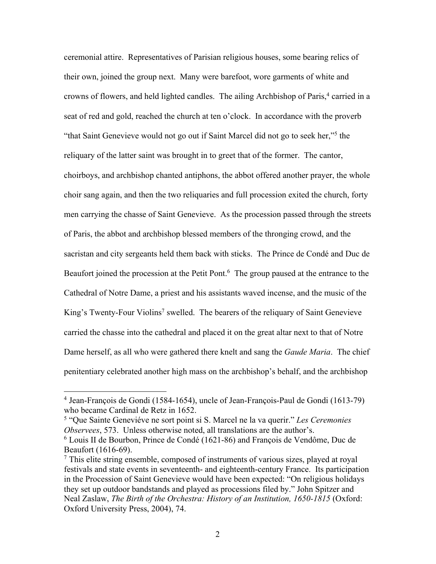ceremonial attire. Representatives of Parisian religious houses, some bearing relics of their own, joined the group next. Many were barefoot, wore garments of white and crowns of flowers, and held lighted candles. The ailing Archbishop of Paris, <sup>4</sup> carried in a seat of red and gold, reached the church at ten o'clock. In accordance with the proverb "that Saint Genevieve would not go out if Saint Marcel did not go to seek her,"5 the reliquary of the latter saint was brought in to greet that of the former. The cantor, choirboys, and archbishop chanted antiphons, the abbot offered another prayer, the whole choir sang again, and then the two reliquaries and full procession exited the church, forty men carrying the chasse of Saint Genevieve. As the procession passed through the streets of Paris, the abbot and archbishop blessed members of the thronging crowd, and the sacristan and city sergeants held them back with sticks. The Prince de Condé and Duc de Beaufort joined the procession at the Petit Pont.<sup>6</sup> The group paused at the entrance to the Cathedral of Notre Dame, a priest and his assistants waved incense, and the music of the King's Twenty-Four Violins<sup>7</sup> swelled. The bearers of the reliquary of Saint Genevieve carried the chasse into the cathedral and placed it on the great altar next to that of Notre Dame herself, as all who were gathered there knelt and sang the *Gaude Maria*. The chief penitentiary celebrated another high mass on the archbishop's behalf, and the archbishop

<sup>4</sup> Jean-François de Gondi (1584-1654), uncle of Jean-François-Paul de Gondi (1613-79) who became Cardinal de Retz in 1652.

<sup>5</sup> "Que Sainte Geneviéve ne sort point si S. Marcel ne la va querir." *Les Ceremonies Observees*, 573. Unless otherwise noted, all translations are the author's.

<sup>6</sup> Louis II de Bourbon, Prince de Condé (1621-86) and François de Vendôme, Duc de Beaufort (1616-69).

 $<sup>7</sup>$  This elite string ensemble, composed of instruments of various sizes, played at royal</sup> festivals and state events in seventeenth- and eighteenth-century France. Its participation in the Procession of Saint Genevieve would have been expected: "On religious holidays they set up outdoor bandstands and played as processions filed by." John Spitzer and Neal Zaslaw, *The Birth of the Orchestra: History of an Institution, 1650-1815* (Oxford: Oxford University Press, 2004), 74.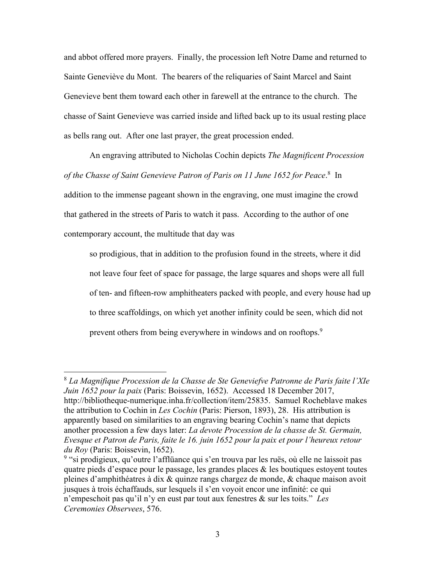and abbot offered more prayers. Finally, the procession left Notre Dame and returned to Sainte Geneviève du Mont. The bearers of the reliquaries of Saint Marcel and Saint Genevieve bent them toward each other in farewell at the entrance to the church. The chasse of Saint Genevieve was carried inside and lifted back up to its usual resting place as bells rang out. After one last prayer, the great procession ended.

An engraving attributed to Nicholas Cochin depicts *The Magnificent Procession of the Chasse of Saint Genevieve Patron of Paris on 11 June 1652 for Peace*. 8 In addition to the immense pageant shown in the engraving, one must imagine the crowd that gathered in the streets of Paris to watch it pass. According to the author of one contemporary account, the multitude that day was

so prodigious, that in addition to the profusion found in the streets, where it did not leave four feet of space for passage, the large squares and shops were all full of ten- and fifteen-row amphitheaters packed with people, and every house had up to three scaffoldings, on which yet another infinity could be seen, which did not prevent others from being everywhere in windows and on rooftops.9

<sup>8</sup> *La Magnifique Procession de la Chasse de Ste Geneviefve Patronne de Paris faite l'XIe Juin 1652 pour la paix* (Paris: Boissevin, 1652). Accessed 18 December 2017, http://bibliotheque-numerique.inha.fr/collection/item/25835. Samuel Rocheblave makes the attribution to Cochin in *Les Cochin* (Paris: Pierson, 1893), 28. His attribution is apparently based on similarities to an engraving bearing Cochin's name that depicts another procession a few days later: *La devote Procession de la chasse de St. Germain, Evesque et Patron de Paris, faite le 16. juin 1652 pour la paix et pour l'heureux retour du Roy* (Paris: Boissevin, 1652).

<sup>&</sup>lt;sup>9</sup> "si prodigieux, qu'outre l'afflüance qui s'en trouva par les ruës, où elle ne laissoit pas quatre pieds d'espace pour le passage, les grandes places  $\&$  les boutiques estoyent toutes pleines d'amphithéatres à dix & quinze rangs chargez de monde, & chaque maison avoit jusques à trois échaffauds, sur lesquels il s'en voyoit encor une infinité: ce qui n'empeschoit pas qu'il n'y en eust par tout aux fenestres & sur les toits." *Les Ceremonies Observees*, 576.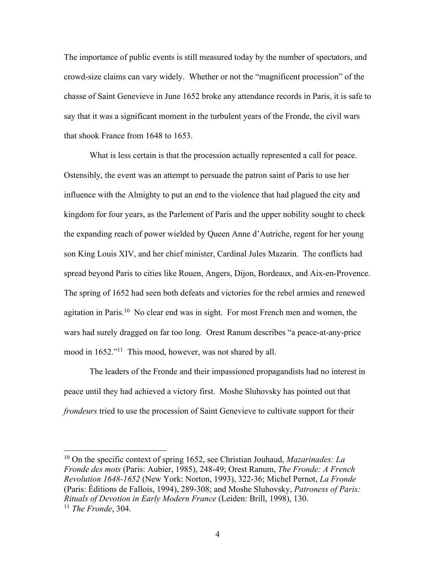The importance of public events is still measured today by the number of spectators, and crowd-size claims can vary widely. Whether or not the "magnificent procession" of the chasse of Saint Genevieve in June 1652 broke any attendance records in Paris, it is safe to say that it was a significant moment in the turbulent years of the Fronde, the civil wars that shook France from 1648 to 1653.

What is less certain is that the procession actually represented a call for peace. Ostensibly, the event was an attempt to persuade the patron saint of Paris to use her influence with the Almighty to put an end to the violence that had plagued the city and kingdom for four years, as the Parlement of Paris and the upper nobility sought to check the expanding reach of power wielded by Queen Anne d'Autriche, regent for her young son King Louis XIV, and her chief minister, Cardinal Jules Mazarin. The conflicts had spread beyond Paris to cities like Rouen, Angers, Dijon, Bordeaux, and Aix-en-Provence. The spring of 1652 had seen both defeats and victories for the rebel armies and renewed agitation in Paris.<sup>10</sup> No clear end was in sight. For most French men and women, the wars had surely dragged on far too long. Orest Ranum describes "a peace-at-any-price mood in 1652."<sup>11</sup> This mood, however, was not shared by all.

The leaders of the Fronde and their impassioned propagandists had no interest in peace until they had achieved a victory first. Moshe Sluhovsky has pointed out that *frondeurs* tried to use the procession of Saint Genevieve to cultivate support for their

<sup>10</sup> On the specific context of spring 1652, see Christian Jouhaud, *Mazarinades: La Fronde des mots* (Paris: Aubier, 1985), 248-49; Orest Ranum, *The Fronde: A French Revolution 1648-1652* (New York: Norton, 1993), 322-36; Michel Pernot, *La Fronde* (Paris: Éditions de Fallois, 1994), 289-308; and Moshe Sluhovsky, *Patroness of Paris: Rituals of Devotion in Early Modern France* (Leiden: Brill, 1998), 130. <sup>11</sup> *The Fronde*, 304.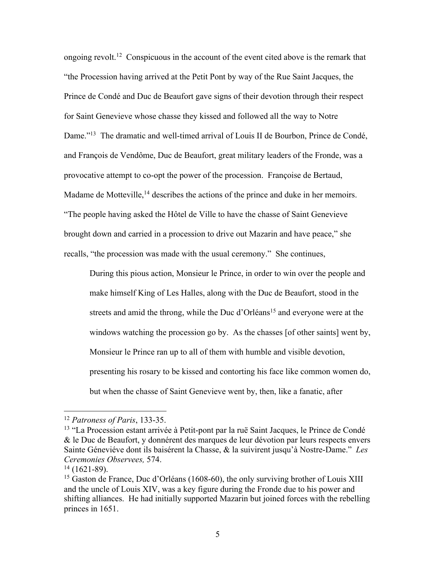ongoing revolt.<sup>12</sup> Conspicuous in the account of the event cited above is the remark that "the Procession having arrived at the Petit Pont by way of the Rue Saint Jacques, the Prince de Condé and Duc de Beaufort gave signs of their devotion through their respect for Saint Genevieve whose chasse they kissed and followed all the way to Notre Dame."<sup>13</sup> The dramatic and well-timed arrival of Louis II de Bourbon, Prince de Condé, and François de Vendôme, Duc de Beaufort, great military leaders of the Fronde, was a provocative attempt to co-opt the power of the procession. Françoise de Bertaud, Madame de Motteville,<sup>14</sup> describes the actions of the prince and duke in her memoirs. "The people having asked the Hôtel de Ville to have the chasse of Saint Genevieve brought down and carried in a procession to drive out Mazarin and have peace," she recalls, "the procession was made with the usual ceremony." She continues,

During this pious action, Monsieur le Prince, in order to win over the people and make himself King of Les Halles, along with the Duc de Beaufort, stood in the streets and amid the throng, while the Duc d'Orléans<sup>15</sup> and everyone were at the windows watching the procession go by. As the chasses [of other saints] went by, Monsieur le Prince ran up to all of them with humble and visible devotion, presenting his rosary to be kissed and contorting his face like common women do, but when the chasse of Saint Genevieve went by, then, like a fanatic, after

<sup>12</sup> *Patroness of Paris*, 133-35.

<sup>13</sup> "La Procession estant arrivée à Petit-pont par la ruë Saint Jacques, le Prince de Condé & le Duc de Beaufort, y donnérent des marques de leur dévotion par leurs respects envers Sainte Géneviéve dont ils baisérent la Chasse, & la suivirent jusqu'à Nostre-Dame." *Les Ceremonies Observees,* 574.

 $14$  (1621-89).

<sup>&</sup>lt;sup>15</sup> Gaston de France, Duc d'Orléans (1608-60), the only surviving brother of Louis XIII and the uncle of Louis XIV, was a key figure during the Fronde due to his power and shifting alliances. He had initially supported Mazarin but joined forces with the rebelling princes in 1651.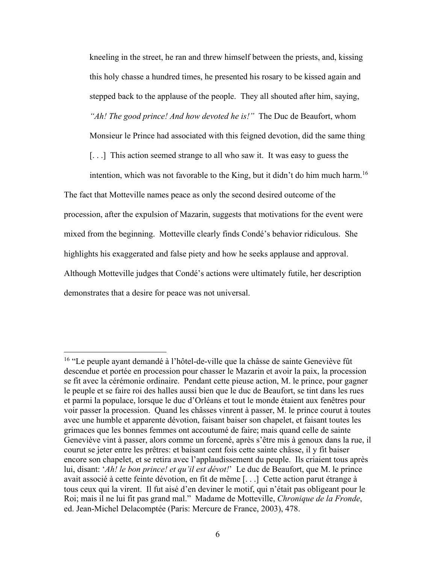kneeling in the street, he ran and threw himself between the priests, and, kissing this holy chasse a hundred times, he presented his rosary to be kissed again and stepped back to the applause of the people. They all shouted after him, saying, *"Ah! The good prince! And how devoted he is!"* The Duc de Beaufort, whom

Monsieur le Prince had associated with this feigned devotion, did the same thing

[...] This action seemed strange to all who saw it. It was easy to guess the

intention, which was not favorable to the King, but it didn't do him much harm.<sup>16</sup> The fact that Motteville names peace as only the second desired outcome of the procession, after the expulsion of Mazarin, suggests that motivations for the event were mixed from the beginning. Motteville clearly finds Condé's behavior ridiculous. She highlights his exaggerated and false piety and how he seeks applause and approval. Although Motteville judges that Condé's actions were ultimately futile, her description demonstrates that a desire for peace was not universal.

<sup>16</sup> "Le peuple ayant demandé à l'hôtel-de-ville que la châsse de sainte Geneviève fût descendue et portée en procession pour chasser le Mazarin et avoir la paix, la procession se fit avec la cérémonie ordinaire. Pendant cette pieuse action, M. le prince, pour gagner le peuple et se faire roi des halles aussi bien que le duc de Beaufort, se tint dans les rues et parmi la populace, lorsque le duc d'Orléans et tout le monde étaient aux fenêtres pour voir passer la procession. Quand les châsses vinrent à passer, M. le prince courut à toutes avec une humble et apparente dévotion, faisant baiser son chapelet, et faisant toutes les grimaces que les bonnes femmes ont accoutumé de faire; mais quand celle de sainte Geneviève vint à passer, alors comme un forcené, après s'être mis à genoux dans la rue, il courut se jeter entre les prêtres: et baisant cent fois cette sainte châsse, il y fit baiser encore son chapelet, et se retira avec l'applaudissement du peuple. Ils criaient tous après lui, disant: '*Ah! le bon prince! et qu'il est dévot!*' Le duc de Beaufort, que M. le prince avait associé à cette feinte dévotion, en fit de même [. . .] Cette action parut étrange à tous ceux qui la virent. Il fut aisé d'en deviner le motif, qui n'était pas obligeant pour le Roi; mais il ne lui fit pas grand mal." Madame de Motteville, *Chronique de la Fronde*, ed. Jean-Michel Delacomptée (Paris: Mercure de France, 2003), 478.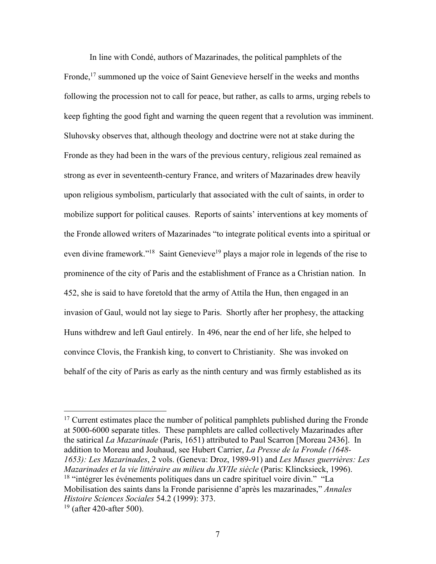In line with Condé, authors of Mazarinades, the political pamphlets of the Fronde,<sup>17</sup> summoned up the voice of Saint Genevieve herself in the weeks and months following the procession not to call for peace, but rather, as calls to arms, urging rebels to keep fighting the good fight and warning the queen regent that a revolution was imminent. Sluhovsky observes that, although theology and doctrine were not at stake during the Fronde as they had been in the wars of the previous century, religious zeal remained as strong as ever in seventeenth-century France, and writers of Mazarinades drew heavily upon religious symbolism, particularly that associated with the cult of saints, in order to mobilize support for political causes. Reports of saints' interventions at key moments of the Fronde allowed writers of Mazarinades "to integrate political events into a spiritual or even divine framework."<sup>18</sup> Saint Genevieve<sup>19</sup> plays a major role in legends of the rise to prominence of the city of Paris and the establishment of France as a Christian nation. In 452, she is said to have foretold that the army of Attila the Hun, then engaged in an invasion of Gaul, would not lay siege to Paris. Shortly after her prophesy, the attacking Huns withdrew and left Gaul entirely. In 496, near the end of her life, she helped to convince Clovis, the Frankish king, to convert to Christianity. She was invoked on behalf of the city of Paris as early as the ninth century and was firmly established as its

 $17$  Current estimates place the number of political pamphlets published during the Fronde at 5000-6000 separate titles. These pamphlets are called collectively Mazarinades after the satirical *La Mazarinade* (Paris, 1651) attributed to Paul Scarron [Moreau 2436]. In addition to Moreau and Jouhaud, see Hubert Carrier, *La Presse de la Fronde (1648- 1653): Les Mazarinades*, 2 vols. (Geneva: Droz, 1989-91) and *Les Muses guerrières: Les Mazarinades et la vie littéraire au milieu du XVIIe siècle* (Paris: Klincksieck, 1996). <sup>18</sup> "intégrer les événements politiques dans un cadre spirituel voire divin." "La Mobilisation des saints dans la Fronde parisienne d'après les mazarinades," *Annales Histoire Sciences Sociales* 54.2 (1999): 373.

 $19$  (after 420-after 500).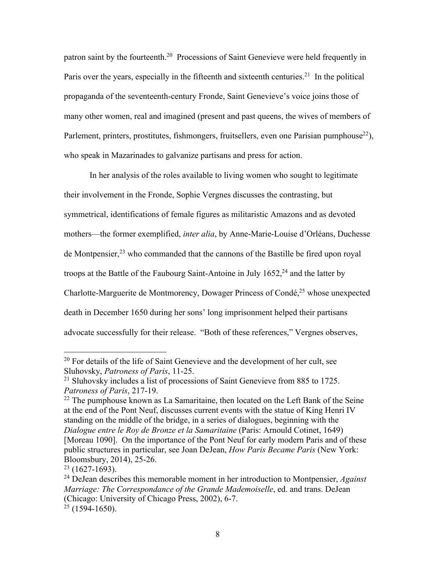patron saint by the fourteenth.20 Processions of Saint Genevieve were held frequently in Paris over the years, especially in the fifteenth and sixteenth centuries.<sup>21</sup> In the political propaganda of the seventeenth-century Fronde, Saint Genevieve's voice joins those of many other women, real and imagined (present and past queens, the wives of members of Parlement, printers, prostitutes, fishmongers, fruitsellers, even one Parisian pumphouse<sup>22</sup>), who speak in Mazarinades to galvanize partisans and press for action.

In her analysis of the roles available to living women who sought to legitimate their involvement in the Fronde, Sophie Vergnes discusses the contrasting, but symmetrical, identifications of female figures as militaristic Amazons and as devoted mothers—the former exemplified, *inter alia*, by Anne-Marie-Louise d'Orléans, Duchesse de Montpensier,<sup>23</sup> who commanded that the cannons of the Bastille be fired upon royal troops at the Battle of the Faubourg Saint-Antoine in July  $1652<sup>24</sup>$  and the latter by Charlotte-Marguerite de Montmorency, Dowager Princess of Condé,<sup>25</sup> whose unexpected death in December 1650 during her sons' long imprisonment helped their partisans advocate successfully for their release. "Both of these references," Vergnes observes,

 $20$  For details of the life of Saint Genevieve and the development of her cult, see Sluhovsky, *Patroness of Paris*, 11-25.

<sup>&</sup>lt;sup>21</sup> Sluhovsky includes a list of processions of Saint Genevieve from 885 to 1725. *Patroness of Paris*, 217-19.

 $22$  The pumphouse known as La Samaritaine, then located on the Left Bank of the Seine at the end of the Pont Neuf, discusses current events with the statue of King Henri IV standing on the middle of the bridge, in a series of dialogues, beginning with the *Dialogue entre le Roy de Bronze et la Samaritaine* (Paris: Arnould Cotinet, 1649) [Moreau 1090]. On the importance of the Pont Neuf for early modern Paris and of these public structures in particular, see Joan DeJean, *How Paris Became Paris* (New York: Bloomsbury, 2014), 25-26.

 $23$  (1627-1693).

<sup>24</sup> DeJean describes this memorable moment in her introduction to Montpensier, *Against Marriage: The Correspondance of the Grande Mademoiselle*, ed. and trans. DeJean (Chicago: University of Chicago Press, 2002), 6-7.

 $25$  (1594-1650).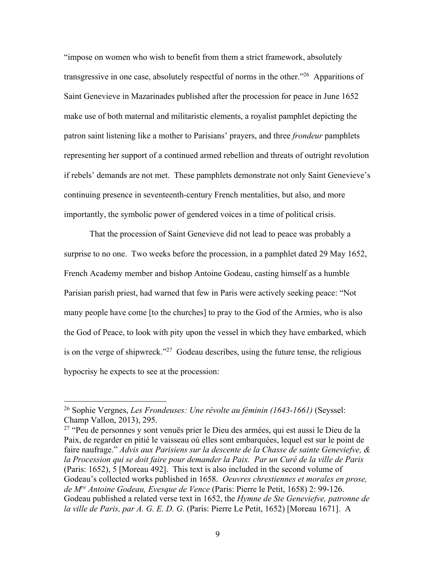"impose on women who wish to benefit from them a strict framework, absolutely transgressive in one case, absolutely respectful of norms in the other.<sup>"26</sup> Apparitions of Saint Genevieve in Mazarinades published after the procession for peace in June 1652 make use of both maternal and militaristic elements, a royalist pamphlet depicting the patron saint listening like a mother to Parisians' prayers, and three *frondeur* pamphlets representing her support of a continued armed rebellion and threats of outright revolution if rebels' demands are not met. These pamphlets demonstrate not only Saint Genevieve's continuing presence in seventeenth-century French mentalities, but also, and more importantly, the symbolic power of gendered voices in a time of political crisis.

That the procession of Saint Genevieve did not lead to peace was probably a surprise to no one. Two weeks before the procession, in a pamphlet dated 29 May 1652, French Academy member and bishop Antoine Godeau, casting himself as a humble Parisian parish priest, had warned that few in Paris were actively seeking peace: "Not many people have come [to the churches] to pray to the God of the Armies, who is also the God of Peace, to look with pity upon the vessel in which they have embarked, which is on the verge of shipwreck."<sup>27</sup> Godeau describes, using the future tense, the religious hypocrisy he expects to see at the procession:

<sup>26</sup> Sophie Vergnes, *Les Frondeuses: Une révolte au féminin (1643-1661)* (Seyssel: Champ Vallon, 2013), 295.

<sup>&</sup>lt;sup>27</sup> "Peu de personnes y sont venuës prier le Dieu des armées, qui est aussi le Dieu de la Paix, de regarder en pitié le vaisseau où elles sont embarquées, lequel est sur le point de faire naufrage." *Advis aux Parisiens sur la descente de la Chasse de sainte Geneviefve, & la Procession qui se doit faire pour demander la Paix. Par un Curé de la ville de Paris* (Paris: 1652), 5 [Moreau 492]. This text is also included in the second volume of Godeau's collected works published in 1658. *Oeuvres chrestiennes et morales en prose, de Mre Antoine Godeau, Evesque de Vence* (Paris: Pierre le Petit, 1658) 2: 99-126. Godeau published a related verse text in 1652, the *Hymne de Ste Geneviefve, patronne de la ville de Paris, par A. G. E. D. G.* (Paris: Pierre Le Petit, 1652) [Moreau 1671]. A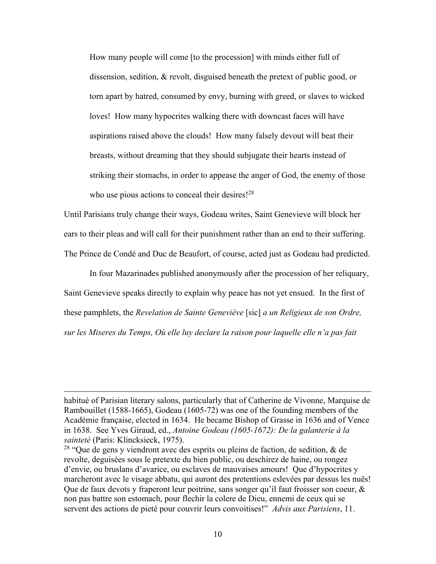How many people will come [to the procession] with minds either full of dissension, sedition, & revolt, disguised beneath the pretext of public good, or torn apart by hatred, consumed by envy, burning with greed, or slaves to wicked loves! How many hypocrites walking there with downcast faces will have aspirations raised above the clouds! How many falsely devout will beat their breasts, without dreaming that they should subjugate their hearts instead of striking their stomachs, in order to appease the anger of God, the enemy of those who use pious actions to conceal their desires!<sup>28</sup>

Until Parisians truly change their ways, Godeau writes, Saint Genevieve will block her ears to their pleas and will call for their punishment rather than an end to their suffering. The Prince de Condé and Duc de Beaufort, of course, acted just as Godeau had predicted.

In four Mazarinades published anonymously after the procession of her reliquary, Saint Genevieve speaks directly to explain why peace has not yet ensued. In the first of these pamphlets, the *Revelation de Sainte Geneviéve* [sic] *a un Religieux de son Ordre, sur les Miseres du Temps, Où elle luy declare la raison pour laquelle elle n'a pas fait* 

habitué of Parisian literary salons, particularly that of Catherine de Vivonne, Marquise de Rambouillet (1588-1665), Godeau (1605-72) was one of the founding members of the Académie française, elected in 1634. He became Bishop of Grasse in 1636 and of Vence in 1638. See Yves Giraud, ed., *Antoine Godeau (1605-1672): De la galanterie à la sainteté* (Paris: Klincksieck, 1975).

<sup>&</sup>lt;sup>28</sup> "Que de gens y viendront avec des esprits ou pleins de faction, de sedition, & de revolte, deguisées sous le pretexte du bien public, ou deschirez de haine, ou rongez d'envie, ou bruslans d'avarice, ou esclaves de mauvaises amours! Que d'hypocrites y marcheront avec le visage abbatu, qui auront des pretentions eslevées par dessus les nuës! Que de faux devots y fraperont leur poitrine, sans songer qu'il faut froisser son coeur, & non pas battre son estomach, pour flechir la colere de Dieu, ennemi de ceux qui se servent des actions de pieté pour couvrir leurs convoitises!" *Advis aux Parisiens*, 11.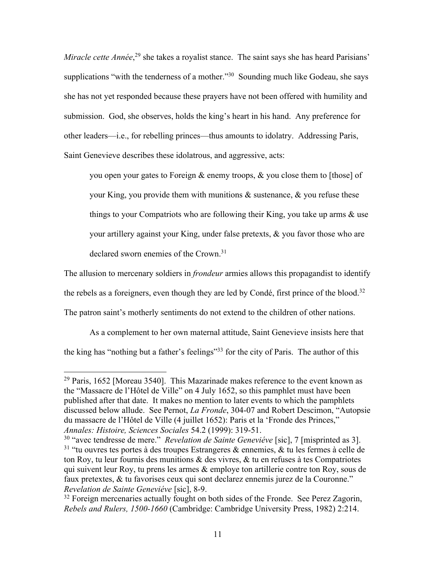Miracle cette Année,<sup>29</sup> she takes a royalist stance. The saint says she has heard Parisians' supplications "with the tenderness of a mother."<sup>30</sup> Sounding much like Godeau, she says she has not yet responded because these prayers have not been offered with humility and submission. God, she observes, holds the king's heart in his hand. Any preference for other leaders—i.e., for rebelling princes—thus amounts to idolatry. Addressing Paris, Saint Genevieve describes these idolatrous, and aggressive, acts:

you open your gates to Foreign & enemy troops, & you close them to [those] of your King, you provide them with munitions  $\&$  sustenance,  $\&$  you refuse these things to your Compatriots who are following their King, you take up arms & use your artillery against your King, under false pretexts, & you favor those who are declared sworn enemies of the Crown.31

The allusion to mercenary soldiers in *frondeur* armies allows this propagandist to identify the rebels as a foreigners, even though they are led by Condé, first prince of the blood.<sup>32</sup> The patron saint's motherly sentiments do not extend to the children of other nations.

As a complement to her own maternal attitude, Saint Genevieve insists here that the king has "nothing but a father's feelings"<sup>33</sup> for the city of Paris. The author of this

 $29$  Paris, 1652 [Moreau 3540]. This Mazarinade makes reference to the event known as the "Massacre de l'Hôtel de Ville" on 4 July 1652, so this pamphlet must have been published after that date. It makes no mention to later events to which the pamphlets discussed below allude. See Pernot, *La Fronde*, 304-07 and Robert Descimon, "Autopsie du massacre de l'Hôtel de Ville (4 juillet 1652): Paris et la 'Fronde des Princes," *Annales: Histoire, Sciences Sociales* 54.2 (1999): 319-51.

<sup>30</sup> "avec tendresse de mere." *Revelation de Sainte Geneviéve* [sic], 7 [misprinted as 3]. <sup>31</sup> "tu ouvres tes portes à des troupes Estrangeres & ennemies, & tu les fermes à celle de ton Roy, tu leur fournis des munitions  $\&$  des vivres,  $\&$  tu en refuses à tes Compatriotes qui suivent leur Roy, tu prens les armes  $\&$  employe ton artillerie contre ton Roy, sous de faux pretextes, & tu favorises ceux qui sont declarez ennemis jurez de la Couronne." *Revelation de Sainte Geneviéve* [sic], 8-9.

 $32$  Foreign mercenaries actually fought on both sides of the Fronde. See Perez Zagorin, *Rebels and Rulers, 1500-1660* (Cambridge: Cambridge University Press, 1982) 2:214.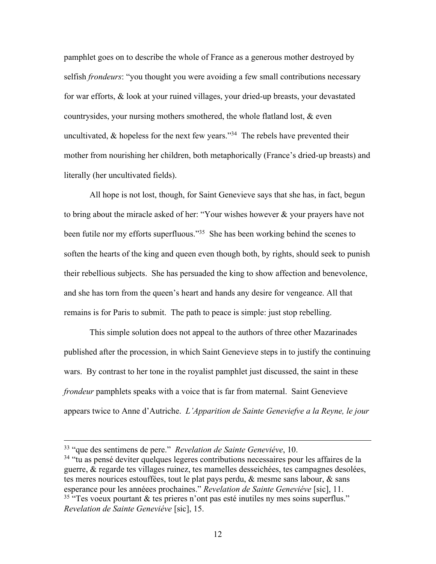pamphlet goes on to describe the whole of France as a generous mother destroyed by selfish *frondeurs*: "you thought you were avoiding a few small contributions necessary for war efforts, & look at your ruined villages, your dried-up breasts, your devastated countrysides, your nursing mothers smothered, the whole flatland lost, & even uncultivated,  $\&$  hopeless for the next few years."<sup>34</sup> The rebels have prevented their mother from nourishing her children, both metaphorically (France's dried-up breasts) and literally (her uncultivated fields).

All hope is not lost, though, for Saint Genevieve says that she has, in fact, begun to bring about the miracle asked of her: "Your wishes however & your prayers have not been futile nor my efforts superfluous."<sup>35</sup> She has been working behind the scenes to soften the hearts of the king and queen even though both, by rights, should seek to punish their rebellious subjects. She has persuaded the king to show affection and benevolence, and she has torn from the queen's heart and hands any desire for vengeance. All that remains is for Paris to submit. The path to peace is simple: just stop rebelling.

This simple solution does not appeal to the authors of three other Mazarinades published after the procession, in which Saint Genevieve steps in to justify the continuing wars. By contrast to her tone in the royalist pamphlet just discussed, the saint in these *frondeur* pamphlets speaks with a voice that is far from maternal. Saint Genevieve appears twice to Anne d'Autriche. *L'Apparition de Sainte Geneviefve a la Reyne, le jour* 

<sup>33</sup> "que des sentimens de pere." *Revelation de Sainte Geneviéve*, 10.

<sup>&</sup>lt;sup>34</sup> "tu as pensé deviter quelques legeres contributions necessaires pour les affaires de la guerre, & regarde tes villages ruinez, tes mamelles desseichées, tes campagnes desolées, tes meres nourices estouffées, tout le plat pays perdu, & mesme sans labour, & sans esperance pour les annéees prochaines." *Revelation de Sainte Geneviéve* [sic], 11. <sup>35</sup> "Tes voeux pourtant & tes prieres n'ont pas esté inutiles ny mes soins superflus." *Revelation de Sainte Geneviéve* [sic], 15.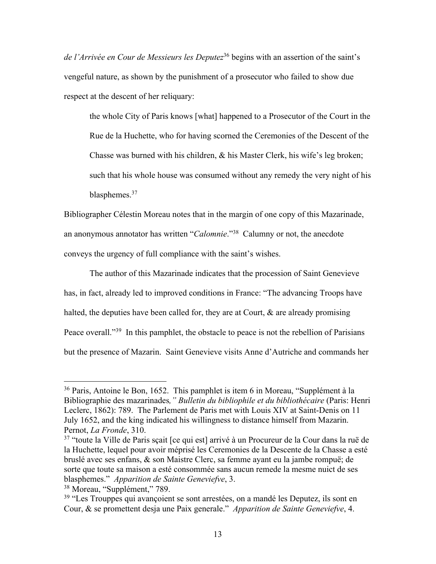*de l'Arrivée en Cour de Messieurs les Deputez*<sup>36</sup> begins with an assertion of the saint's vengeful nature, as shown by the punishment of a prosecutor who failed to show due respect at the descent of her reliquary:

the whole City of Paris knows [what] happened to a Prosecutor of the Court in the Rue de la Huchette, who for having scorned the Ceremonies of the Descent of the Chasse was burned with his children, & his Master Clerk, his wife's leg broken; such that his whole house was consumed without any remedy the very night of his blasphemes.37

Bibliographer Célestin Moreau notes that in the margin of one copy of this Mazarinade, an anonymous annotator has written "*Calomnie*."38 Calumny or not, the anecdote conveys the urgency of full compliance with the saint's wishes.

The author of this Mazarinade indicates that the procession of Saint Genevieve has, in fact, already led to improved conditions in France: "The advancing Troops have halted, the deputies have been called for, they are at Court, & are already promising Peace overall."<sup>39</sup> In this pamphlet, the obstacle to peace is not the rebellion of Parisians but the presence of Mazarin. Saint Genevieve visits Anne d'Autriche and commands her

<sup>36</sup> Paris, Antoine le Bon, 1652. This pamphlet is item 6 in Moreau, "Supplément à la Bibliographie des mazarinades*," Bulletin du bibliophile et du bibliothécaire* (Paris: Henri Leclerc, 1862): 789. The Parlement de Paris met with Louis XIV at Saint-Denis on 11 July 1652, and the king indicated his willingness to distance himself from Mazarin. Pernot, *La Fronde*, 310.

<sup>37</sup> "toute la Ville de Paris sçait [ce qui est] arrivé à un Procureur de la Cour dans la ruë de la Huchette, lequel pour avoir méprisé les Ceremonies de la Descente de la Chasse a esté bruslé avec ses enfans, & son Maistre Clerc, sa femme ayant eu la jambe rompuë; de sorte que toute sa maison a esté consommée sans aucun remede la mesme nuict de ses blasphemes." *Apparition de Sainte Geneviefve*, 3.

<sup>38</sup> Moreau, "Supplément," 789.

<sup>&</sup>lt;sup>39</sup> "Les Trouppes qui avançoient se sont arrestées, on a mandé les Deputez, ils sont en Cour, & se promettent desja une Paix generale." *Apparition de Sainte Geneviefve*, 4.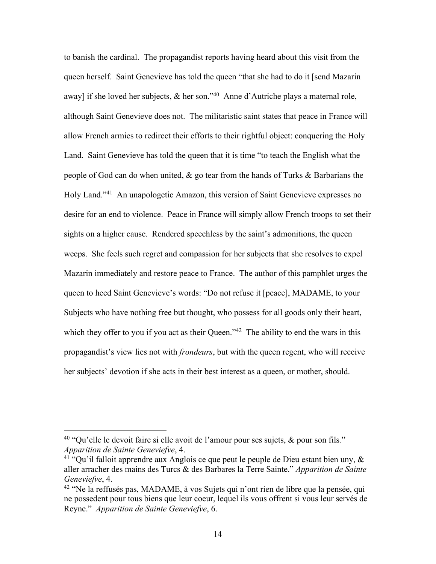to banish the cardinal. The propagandist reports having heard about this visit from the queen herself. Saint Genevieve has told the queen "that she had to do it [send Mazarin away] if she loved her subjects,  $\&$  her son."<sup>40</sup> Anne d'Autriche plays a maternal role, although Saint Genevieve does not. The militaristic saint states that peace in France will allow French armies to redirect their efforts to their rightful object: conquering the Holy Land. Saint Genevieve has told the queen that it is time "to teach the English what the people of God can do when united, & go tear from the hands of Turks & Barbarians the Holy Land."41 An unapologetic Amazon, this version of Saint Genevieve expresses no desire for an end to violence. Peace in France will simply allow French troops to set their sights on a higher cause. Rendered speechless by the saint's admonitions, the queen weeps. She feels such regret and compassion for her subjects that she resolves to expel Mazarin immediately and restore peace to France. The author of this pamphlet urges the queen to heed Saint Genevieve's words: "Do not refuse it [peace], MADAME, to your Subjects who have nothing free but thought, who possess for all goods only their heart, which they offer to you if you act as their Queen.<sup> $142$ </sup> The ability to end the wars in this propagandist's view lies not with *frondeurs*, but with the queen regent, who will receive her subjects' devotion if she acts in their best interest as a queen, or mother, should.

<sup>40</sup> "Qu'elle le devoit faire si elle avoit de l'amour pour ses sujets, & pour son fils*.*" *Apparition de Sainte Geneviefve*, 4.

<sup>&</sup>lt;sup>41</sup> "Qu'il falloit apprendre aux Anglois ce que peut le peuple de Dieu estant bien uny,  $\&$ aller arracher des mains des Turcs & des Barbares la Terre Sainte." *Apparition de Sainte Geneviefve*, 4.

<sup>42</sup> "Ne la reffusés pas, MADAME, à vos Sujets qui n'ont rien de libre que la pensée, qui ne possedent pour tous biens que leur coeur, lequel ils vous offrent si vous leur servés de Reyne." *Apparition de Sainte Geneviefve*, 6.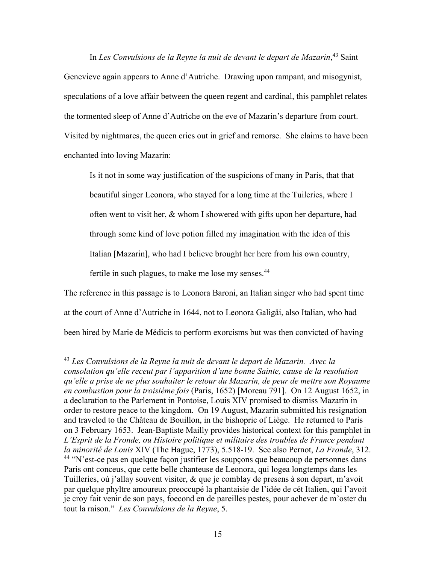In *Les Convulsions de la Reyne la nuit de devant le depart de Mazarin*, <sup>43</sup> Saint Genevieve again appears to Anne d'Autriche. Drawing upon rampant, and misogynist, speculations of a love affair between the queen regent and cardinal, this pamphlet relates the tormented sleep of Anne d'Autriche on the eve of Mazarin's departure from court. Visited by nightmares, the queen cries out in grief and remorse. She claims to have been enchanted into loving Mazarin:

Is it not in some way justification of the suspicions of many in Paris, that that beautiful singer Leonora, who stayed for a long time at the Tuileries, where I often went to visit her, & whom I showered with gifts upon her departure, had through some kind of love potion filled my imagination with the idea of this Italian [Mazarin], who had I believe brought her here from his own country, fertile in such plagues, to make me lose my senses.<sup>44</sup>

The reference in this passage is to Leonora Baroni, an Italian singer who had spent time at the court of Anne d'Autriche in 1644, not to Leonora Galigäi, also Italian, who had been hired by Marie de Médicis to perform exorcisms but was then convicted of having

<sup>43</sup> *Les Convulsions de la Reyne la nuit de devant le depart de Mazarin. Avec la consolation qu'elle receut par l'apparition d'une bonne Sainte, cause de la resolution qu'elle a prise de ne plus souhaiter le retour du Mazarin, de peur de mettre son Royaume en combustion pour la troisiéme fois* (Paris, 1652) [Moreau 791]. On 12 August 1652, in a declaration to the Parlement in Pontoise, Louis XIV promised to dismiss Mazarin in order to restore peace to the kingdom. On 19 August, Mazarin submitted his resignation and traveled to the Château de Bouillon, in the bishopric of Liège. He returned to Paris on 3 February 1653. Jean-Baptiste Mailly provides historical context for this pamphlet in *L'Esprit de la Fronde, ou Histoire politique et militaire des troubles de France pendant la minorité de Louis* XIV (The Hague, 1773), 5.518-19. See also Pernot, *La Fronde*, 312. <sup>44</sup> "N'est-ce pas en quelque façon justifier les soupçons que beaucoup de personnes dans Paris ont conceus, que cette belle chanteuse de Leonora, qui logea longtemps dans les Tuilleries, où j'allay souvent visiter, & que je comblay de presens à son depart, m'avoit par quelque phyltre amoureux preoccupé la phantaisie de l'idée de cét Italien, qui l'avoit je croy fait venir de son pays, foecond en de pareilles pestes, pour achever de m'oster du tout la raison." *Les Convulsions de la Reyne*, 5.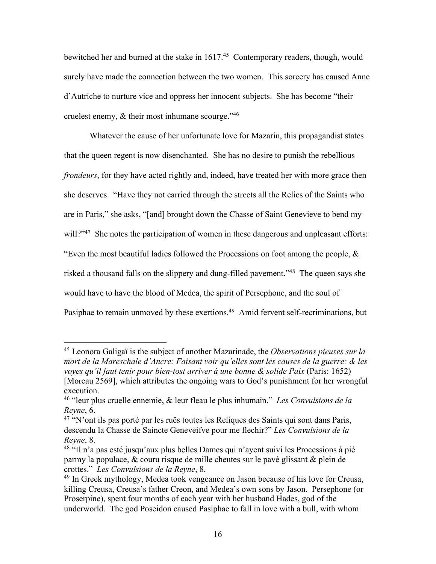bewitched her and burned at the stake in 1617.<sup>45</sup> Contemporary readers, though, would surely have made the connection between the two women. This sorcery has caused Anne d'Autriche to nurture vice and oppress her innocent subjects. She has become "their cruelest enemy,  $\&$  their most inhumane scourge." <sup>46</sup>

Whatever the cause of her unfortunate love for Mazarin, this propagandist states that the queen regent is now disenchanted. She has no desire to punish the rebellious *frondeurs*, for they have acted rightly and, indeed, have treated her with more grace then she deserves. "Have they not carried through the streets all the Relics of the Saints who are in Paris," she asks, "[and] brought down the Chasse of Saint Genevieve to bend my will?"<sup>47</sup> She notes the participation of women in these dangerous and unpleasant efforts: "Even the most beautiful ladies followed the Processions on foot among the people,  $\&$ risked a thousand falls on the slippery and dung-filled pavement."48 The queen says she would have to have the blood of Medea, the spirit of Persephone, and the soul of Pasiphae to remain unmoved by these exertions.<sup>49</sup> Amid fervent self-recriminations, but

<sup>45</sup> Leonora Galigaï is the subject of another Mazarinade, the *Observations pieuses sur la mort de la Mareschale d'Ancre: Faisant voir qu'elles sont les causes de la guerre: & les voyes qu'il faut tenir pour bien-tost arriver à une bonne & solide Paix* (Paris: 1652) [Moreau 2569], which attributes the ongoing wars to God's punishment for her wrongful execution.

<sup>46</sup> "leur plus cruelle ennemie, & leur fleau le plus inhumain." *Les Convulsions de la Reyne*, 6.

<sup>&</sup>lt;sup>47</sup> "N'ont ils pas porté par les ruës toutes les Reliques des Saints qui sont dans Paris, descendu la Chasse de Saincte Geneveifve pour me flechir?" *Les Convulsions de la Reyne*, 8.

<sup>48</sup> "Il n'a pas esté jusqu'aux plus belles Dames qui n'ayent suivi les Processions à pié parmy la populace, & couru risque de mille cheutes sur le pavé glissant & plein de crottes." *Les Convulsions de la Reyne*, 8.

<sup>&</sup>lt;sup>49</sup> In Greek mythology, Medea took vengeance on Jason because of his love for Creusa, killing Creusa, Creusa's father Creon, and Medea's own sons by Jason. Persephone (or Proserpine), spent four months of each year with her husband Hades, god of the underworld. The god Poseidon caused Pasiphae to fall in love with a bull, with whom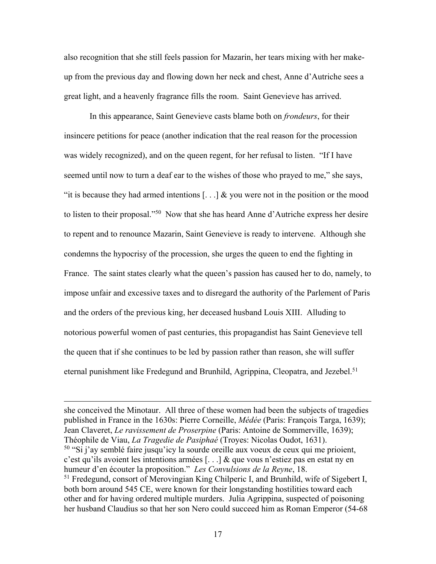also recognition that she still feels passion for Mazarin, her tears mixing with her makeup from the previous day and flowing down her neck and chest, Anne d'Autriche sees a great light, and a heavenly fragrance fills the room. Saint Genevieve has arrived.

In this appearance, Saint Genevieve casts blame both on *frondeurs*, for their insincere petitions for peace (another indication that the real reason for the procession was widely recognized), and on the queen regent, for her refusal to listen. "If I have seemed until now to turn a deaf ear to the wishes of those who prayed to me," she says, "it is because they had armed intentions  $[\dots]$  & you were not in the position or the mood to listen to their proposal."50 Now that she has heard Anne d'Autriche express her desire to repent and to renounce Mazarin, Saint Genevieve is ready to intervene. Although she condemns the hypocrisy of the procession, she urges the queen to end the fighting in France. The saint states clearly what the queen's passion has caused her to do, namely, to impose unfair and excessive taxes and to disregard the authority of the Parlement of Paris and the orders of the previous king, her deceased husband Louis XIII. Alluding to notorious powerful women of past centuries, this propagandist has Saint Genevieve tell the queen that if she continues to be led by passion rather than reason, she will suffer eternal punishment like Fredegund and Brunhild, Agrippina, Cleopatra, and Jezebel.<sup>51</sup>

she conceived the Minotaur. All three of these women had been the subjects of tragedies published in France in the 1630s: Pierre Corneille, *Médée* (Paris: François Targa, 1639); Jean Claveret, *Le ravissement de Proserpine* (Paris: Antoine de Sommerville, 1639); Théophile de Viau, *La Tragedie de Pasiphaé* (Troyes: Nicolas Oudot, 1631). <sup>50</sup> "Si j'ay semblé faire jusqu'icy la sourde oreille aux voeux de ceux qui me prioient, c'est qu'ils avoient les intentions armées [. . .] & que vous n'estiez pas en estat ny en humeur d'en écouter la proposition." *Les Convulsions de la Reyne*, 18. <sup>51</sup> Fredegund, consort of Merovingian King Chilperic I, and Brunhild, wife of Sigebert I, both born around 545 CE, were known for their longstanding hostilities toward each other and for having ordered multiple murders. Julia Agrippina, suspected of poisoning her husband Claudius so that her son Nero could succeed him as Roman Emperor (54-68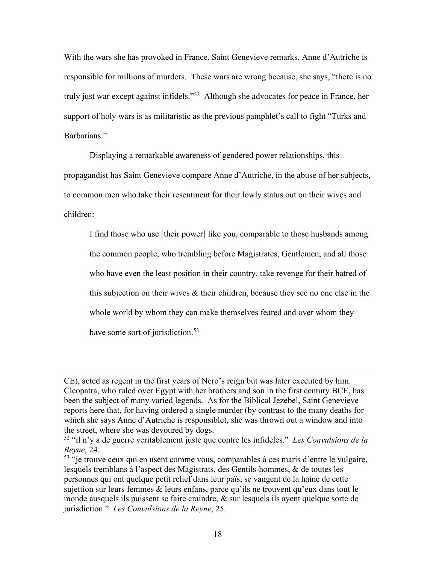With the wars she has provoked in France, Saint Genevieve remarks, Anne d'Autriche is responsible for millions of murders. These wars are wrong because, she says, "there is no truly just war except against infidels."52 Although she advocates for peace in France, her support of holy wars is as militaristic as the previous pamphlet's call to fight "Turks and Barbarians."

Displaying a remarkable awareness of gendered power relationships, this propagandist has Saint Genevieve compare Anne d'Autriche, in the abuse of her subjects, to common men who take their resentment for their lowly status out on their wives and children:

I find those who use [their power] like you, comparable to those husbands among the common people, who trembling before Magistrates, Gentlemen, and all those who have even the least position in their country, take revenge for their hatred of this subjection on their wives & their children, because they see no one else in the whole world by whom they can make themselves feared and over whom they have some sort of jurisdiction.<sup>53</sup>

CE), acted as regent in the first years of Nero's reign but was later executed by him. Cleopatra, who ruled over Egypt with her brothers and son in the first century BCE, has been the subject of many varied legends. As for the Biblical Jezebel, Saint Genevieve reports here that, for having ordered a single murder (by contrast to the many deaths for which she says Anne d'Autriche is responsible), she was thrown out a window and into the street, where she was devoured by dogs.

<sup>52</sup> "il n'y a de guerre veritablement juste que contre les infideles." *Les Convulsions de la Reyne*, 24.

<sup>53</sup> "je trouve ceux qui en usent comme vous, comparables à ces maris d'entre le vulgaire, lesquels tremblans à l'aspect des Magistrats, des Gentils-hommes, & de toutes les personnes qui ont quelque petit relief dans leur païs, se vangent de la haine de cette sujettion sur leurs femmes  $\&$  leurs enfans, parce qu'ils ne trouvent qu'eux dans tout le monde ausquels ils puissent se faire craindre, & sur lesquels ils ayent quelque sorte de jurisdiction." *Les Convulsions de la Reyne*, 25.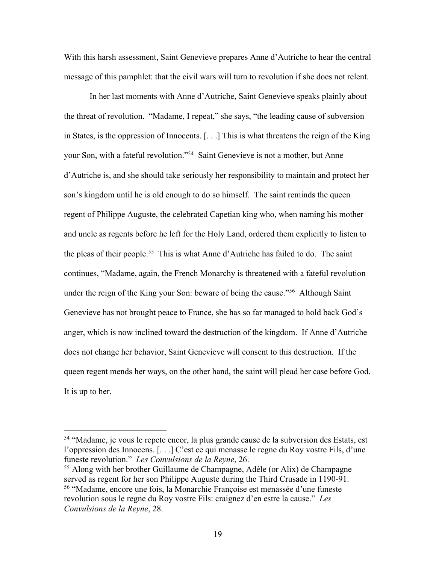With this harsh assessment, Saint Genevieve prepares Anne d'Autriche to hear the central message of this pamphlet: that the civil wars will turn to revolution if she does not relent.

In her last moments with Anne d'Autriche, Saint Genevieve speaks plainly about the threat of revolution. "Madame, I repeat," she says, "the leading cause of subversion in States, is the oppression of Innocents. [. . .] This is what threatens the reign of the King your Son, with a fateful revolution."54 Saint Genevieve is not a mother, but Anne d'Autriche is, and she should take seriously her responsibility to maintain and protect her son's kingdom until he is old enough to do so himself. The saint reminds the queen regent of Philippe Auguste, the celebrated Capetian king who, when naming his mother and uncle as regents before he left for the Holy Land, ordered them explicitly to listen to the pleas of their people.55 This is what Anne d'Autriche has failed to do. The saint continues, "Madame, again, the French Monarchy is threatened with a fateful revolution under the reign of the King your Son: beware of being the cause."<sup>56</sup> Although Saint Genevieve has not brought peace to France, she has so far managed to hold back God's anger, which is now inclined toward the destruction of the kingdom. If Anne d'Autriche does not change her behavior, Saint Genevieve will consent to this destruction. If the queen regent mends her ways, on the other hand, the saint will plead her case before God. It is up to her.

<sup>54</sup> "Madame, je vous le repete encor, la plus grande cause de la subversion des Estats, est l'oppression des Innocens. [. . .] C'est ce qui menasse le regne du Roy vostre Fils, d'une funeste revolution." *Les Convulsions de la Reyne*, 26.

<sup>55</sup> Along with her brother Guillaume de Champagne, Adèle (or Alix) de Champagne served as regent for her son Philippe Auguste during the Third Crusade in 1190-91. <sup>56</sup> "Madame, encore une fois, la Monarchie Françoise est menassée d'une funeste revolution sous le regne du Roy vostre Fils: craignez d'en estre la cause." *Les Convulsions de la Reyne*, 28.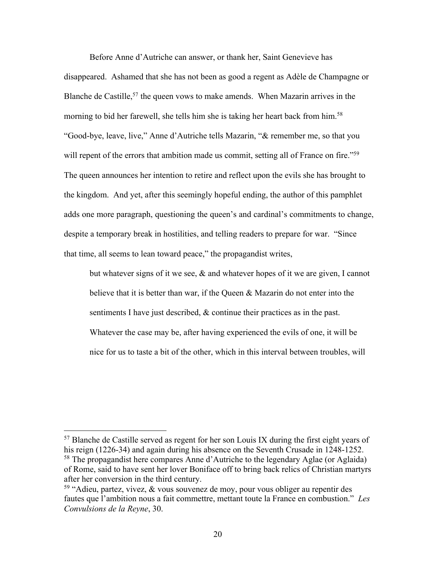Before Anne d'Autriche can answer, or thank her, Saint Genevieve has disappeared. Ashamed that she has not been as good a regent as Adèle de Champagne or Blanche de Castille,<sup>57</sup> the queen vows to make amends. When Mazarin arrives in the morning to bid her farewell, she tells him she is taking her heart back from him.<sup>58</sup> "Good-bye, leave, live," Anne d'Autriche tells Mazarin, "& remember me, so that you will repent of the errors that ambition made us commit, setting all of France on fire."<sup>59</sup> The queen announces her intention to retire and reflect upon the evils she has brought to the kingdom. And yet, after this seemingly hopeful ending, the author of this pamphlet adds one more paragraph, questioning the queen's and cardinal's commitments to change, despite a temporary break in hostilities, and telling readers to prepare for war. "Since that time, all seems to lean toward peace," the propagandist writes,

but whatever signs of it we see, & and whatever hopes of it we are given, I cannot believe that it is better than war, if the Queen & Mazarin do not enter into the sentiments I have just described, & continue their practices as in the past. Whatever the case may be, after having experienced the evils of one, it will be nice for us to taste a bit of the other, which in this interval between troubles, will

<sup>57</sup> Blanche de Castille served as regent for her son Louis IX during the first eight years of his reign (1226-34) and again during his absence on the Seventh Crusade in 1248-1252.

<sup>58</sup> The propagandist here compares Anne d'Autriche to the legendary Aglae (or Aglaida) of Rome, said to have sent her lover Boniface off to bring back relics of Christian martyrs after her conversion in the third century.

<sup>&</sup>lt;sup>59</sup> "Adieu, partez, vivez,  $\&$  vous souvenez de moy, pour vous obliger au repentir des fautes que l'ambition nous a fait commettre, mettant toute la France en combustion." *Les Convulsions de la Reyne*, 30.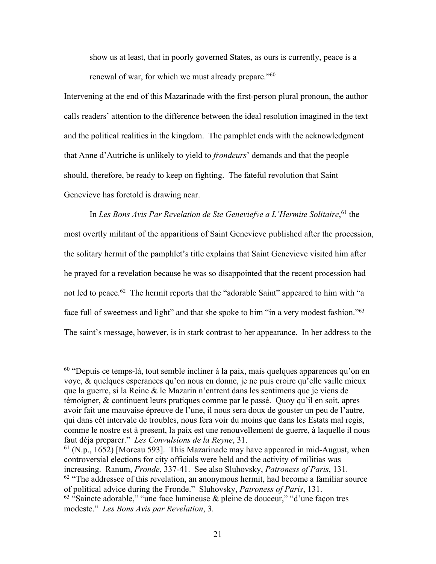show us at least, that in poorly governed States, as ours is currently, peace is a renewal of war, for which we must already prepare."<sup>60</sup>

Intervening at the end of this Mazarinade with the first-person plural pronoun, the author calls readers' attention to the difference between the ideal resolution imagined in the text and the political realities in the kingdom. The pamphlet ends with the acknowledgment that Anne d'Autriche is unlikely to yield to *frondeurs*' demands and that the people should, therefore, be ready to keep on fighting. The fateful revolution that Saint Genevieve has foretold is drawing near.

In *Les Bons Avis Par Revelation de Ste Geneviefve a L'Hermite Solitaire*, <sup>61</sup> the most overtly militant of the apparitions of Saint Genevieve published after the procession, the solitary hermit of the pamphlet's title explains that Saint Genevieve visited him after he prayed for a revelation because he was so disappointed that the recent procession had not led to peace.<sup>62</sup> The hermit reports that the "adorable Saint" appeared to him with "a face full of sweetness and light" and that she spoke to him "in a very modest fashion."<sup>63</sup> The saint's message, however, is in stark contrast to her appearance. In her address to the

 $60$  "Depuis ce temps-là, tout semble incliner à la paix, mais quelques apparences qu'on en voye, & quelques esperances qu'on nous en donne, je ne puis croire qu'elle vaille mieux que la guerre, si la Reine & le Mazarin n'entrent dans les sentimens que je viens de témoigner, & continuent leurs pratiques comme par le passé. Quoy qu'il en soit, apres avoir fait une mauvaise épreuve de l'une, il nous sera doux de gouster un peu de l'autre, qui dans cét intervale de troubles, nous fera voir du moins que dans les Estats mal regis, comme le nostre est à present, la paix est une renouvellement de guerre, à laquelle il nous faut déja preparer." *Les Convulsions de la Reyne*, 31.

 $61$  (N.p., 1652) [Moreau 593]. This Mazarinade may have appeared in mid-August, when controversial elections for city officials were held and the activity of militias was increasing. Ranum, *Fronde*, 337-41. See also Sluhovsky, *Patroness of Paris*, 131.  $62$  "The addressee of this revelation, an anonymous hermit, had become a familiar source of political advice during the Fronde." Sluhovsky, *Patroness of Paris*, 131.  $63$  "Saincte adorable," "une face lumineuse & pleine de douceur," "d'une façon tres modeste." *Les Bons Avis par Revelation*, 3.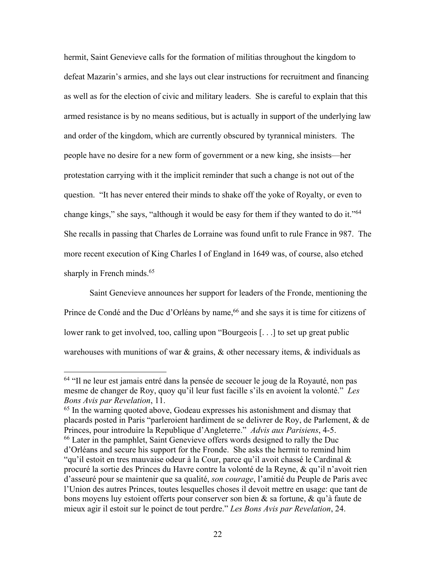hermit, Saint Genevieve calls for the formation of militias throughout the kingdom to defeat Mazarin's armies, and she lays out clear instructions for recruitment and financing as well as for the election of civic and military leaders. She is careful to explain that this armed resistance is by no means seditious, but is actually in support of the underlying law and order of the kingdom, which are currently obscured by tyrannical ministers. The people have no desire for a new form of government or a new king, she insists—her protestation carrying with it the implicit reminder that such a change is not out of the question. "It has never entered their minds to shake off the yoke of Royalty, or even to change kings," she says, "although it would be easy for them if they wanted to do it."<sup>64</sup> She recalls in passing that Charles de Lorraine was found unfit to rule France in 987. The more recent execution of King Charles I of England in 1649 was, of course, also etched sharply in French minds. 65

Saint Genevieve announces her support for leaders of the Fronde, mentioning the Prince de Condé and the Duc d'Orléans by name, 66 and she says it is time for citizens of lower rank to get involved, too, calling upon "Bourgeois [. . .] to set up great public warehouses with munitions of war  $\&$  grains,  $\&$  other necessary items,  $\&$  individuals as

<sup>64</sup> "Il ne leur est jamais entré dans la pensée de secouer le joug de la Royauté, non pas mesme de changer de Roy, quoy qu'il leur fust facille s'ils en avoient la volonté." *Les Bons Avis par Revelation*, 11.

 $65$  In the warning quoted above, Godeau expresses his astonishment and dismay that placards posted in Paris "parleroient hardiment de se delivrer de Roy, de Parlement, & de Princes, pour introduire la Republique d'Angleterre." *Advis aux Parisiens*, 4-5. <sup>66</sup> Later in the pamphlet, Saint Genevieve offers words designed to rally the Duc d'Orléans and secure his support for the Fronde. She asks the hermit to remind him "qu'il estoit en tres mauvaise odeur à la Cour, parce qu'il avoit chassé le Cardinal & procuré la sortie des Princes du Havre contre la volonté de la Reyne, & qu'il n'avoit rien d'asseuré pour se maintenir que sa qualité, *son courage*, l'amitié du Peuple de Paris avec l'Union des autres Princes, toutes lesquelles choses il devoit mettre en usage: que tant de bons moyens luy estoient offerts pour conserver son bien & sa fortune, & qu'à faute de mieux agir il estoit sur le poinct de tout perdre." *Les Bons Avis par Revelation*, 24.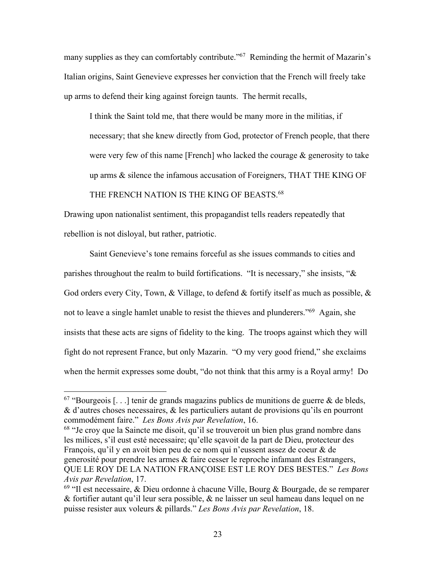many supplies as they can comfortably contribute."<sup>67</sup> Reminding the hermit of Mazarin's Italian origins, Saint Genevieve expresses her conviction that the French will freely take up arms to defend their king against foreign taunts. The hermit recalls,

I think the Saint told me, that there would be many more in the militias, if necessary; that she knew directly from God, protector of French people, that there were very few of this name [French] who lacked the courage & generosity to take up arms & silence the infamous accusation of Foreigners, THAT THE KING OF

#### THE FRENCH NATION IS THE KING OF BEASTS.<sup>68</sup>

Drawing upon nationalist sentiment, this propagandist tells readers repeatedly that rebellion is not disloyal, but rather, patriotic.

Saint Genevieve's tone remains forceful as she issues commands to cities and parishes throughout the realm to build fortifications. "It is necessary," she insists, "& God orders every City, Town, & Village, to defend & fortify itself as much as possible, & not to leave a single hamlet unable to resist the thieves and plunderers."<sup>69</sup> Again, she insists that these acts are signs of fidelity to the king. The troops against which they will fight do not represent France, but only Mazarin. "O my very good friend," she exclaims when the hermit expresses some doubt, "do not think that this army is a Royal army! Do

 $68$  "Je croy que la Saincte me disoit, qu'il se trouveroit un bien plus grand nombre dans les milices, s'il eust esté necessaire; qu'elle sçavoit de la part de Dieu, protecteur des François, qu'il y en avoit bien peu de ce nom qui n'eussent assez de coeur & de generosité pour prendre les armes & faire cesser le reproche infamant des Estrangers, QUE LE ROY DE LA NATION FRANÇOISE EST LE ROY DES BESTES." *Les Bons Avis par Revelation*, 17.

 $67$  "Bourgeois [...] tenir de grands magazins publics de munitions de guerre & de bleds, & d'autres choses necessaires, & les particuliers autant de provisions qu'ils en pourront commodément faire." *Les Bons Avis par Revelation*, 16.

 $69$  "Il est necessaire, & Dieu ordonne à chacune Ville, Bourg & Bourgade, de se remparer & fortifier autant qu'il leur sera possible, & ne laisser un seul hameau dans lequel on ne puisse resister aux voleurs & pillards." *Les Bons Avis par Revelation*, 18.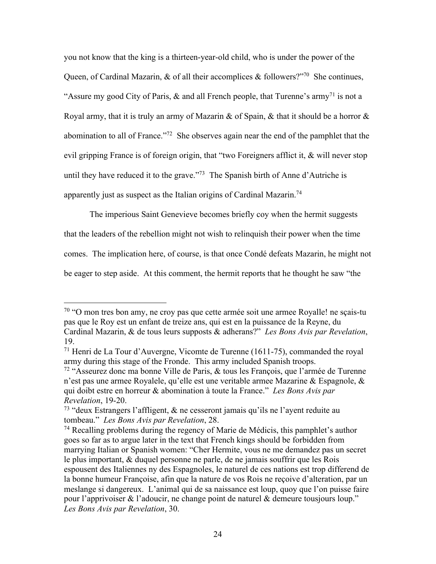you not know that the king is a thirteen-year-old child, who is under the power of the Queen, of Cardinal Mazarin, & of all their accomplices & followers?"<sup>70</sup> She continues, "Assure my good City of Paris,  $\&$  and all French people, that Turenne's army<sup>71</sup> is not a Royal army, that it is truly an army of Mazarin & of Spain, & that it should be a horror & abomination to all of France."<sup>72</sup> She observes again near the end of the pamphlet that the evil gripping France is of foreign origin, that "two Foreigners afflict it, & will never stop until they have reduced it to the grave."<sup>73</sup> The Spanish birth of Anne d'Autriche is apparently just as suspect as the Italian origins of Cardinal Mazarin.<sup>74</sup>

The imperious Saint Genevieve becomes briefly coy when the hermit suggests that the leaders of the rebellion might not wish to relinquish their power when the time comes. The implication here, of course, is that once Condé defeats Mazarin, he might not be eager to step aside. At this comment, the hermit reports that he thought he saw "the

<sup>&</sup>lt;sup>70</sup> "O mon tres bon amy, ne croy pas que cette armée soit une armee Royalle! ne sçais-tu pas que le Roy est un enfant de treize ans, qui est en la puissance de la Reyne, du Cardinal Mazarin, & de tous leurs supposts & adherans?" *Les Bons Avis par Revelation*, 19.

<sup>71</sup> Henri de La Tour d'Auvergne, Vicomte de Turenne (1611-75), commanded the royal army during this stage of the Fronde. This army included Spanish troops.

<sup>&</sup>lt;sup>72</sup> "Asseurez donc ma bonne Ville de Paris,  $\&$  tous les François, que l'armée de Turenne n'est pas une armee Royalele, qu'elle est une veritable armee Mazarine & Espagnole, & qui doibt estre en horreur & abomination à toute la France." *Les Bons Avis par Revelation*, 19-20.

<sup>&</sup>lt;sup>73</sup> "deux Estrangers l'affligent,  $\&$  ne cesseront jamais qu'ils ne l'ayent reduite au tombeau." *Les Bons Avis par Revelation*, 28.

 $74$  Recalling problems during the regency of Marie de Médicis, this pamphlet's author goes so far as to argue later in the text that French kings should be forbidden from marrying Italian or Spanish women: "Cher Hermite, vous ne me demandez pas un secret le plus important, & duquel personne ne parle, de ne jamais souffrir que les Rois espousent des Italiennes ny des Espagnoles, le naturel de ces nations est trop differend de la bonne humeur Françoise, afin que la nature de vos Rois ne reçoive d'alteration, par un meslange si dangereux. L'animal qui de sa naissance est loup, quoy que l'on puisse faire pour l'apprivoiser & l'adoucir, ne change point de naturel & demeure tousjours loup." *Les Bons Avis par Revelation*, 30.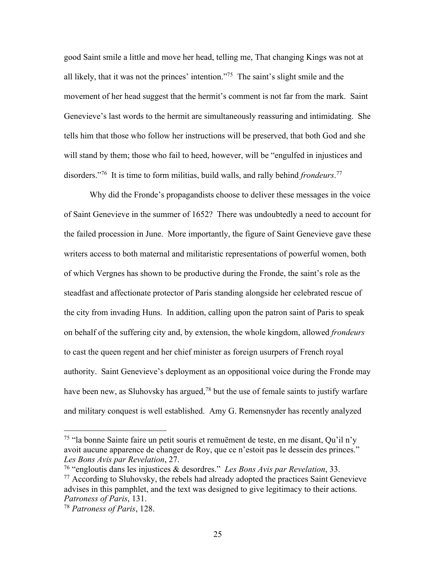good Saint smile a little and move her head, telling me, That changing Kings was not at all likely, that it was not the princes' intention."75 The saint's slight smile and the movement of her head suggest that the hermit's comment is not far from the mark. Saint Genevieve's last words to the hermit are simultaneously reassuring and intimidating. She tells him that those who follow her instructions will be preserved, that both God and she will stand by them; those who fail to heed, however, will be "engulfed in injustices and disorders."76 It is time to form militias, build walls, and rally behind *frondeurs*. 77

Why did the Fronde's propagandists choose to deliver these messages in the voice of Saint Genevieve in the summer of 1652? There was undoubtedly a need to account for the failed procession in June. More importantly, the figure of Saint Genevieve gave these writers access to both maternal and militaristic representations of powerful women, both of which Vergnes has shown to be productive during the Fronde, the saint's role as the steadfast and affectionate protector of Paris standing alongside her celebrated rescue of the city from invading Huns. In addition, calling upon the patron saint of Paris to speak on behalf of the suffering city and, by extension, the whole kingdom, allowed *frondeurs* to cast the queen regent and her chief minister as foreign usurpers of French royal authority. Saint Genevieve's deployment as an oppositional voice during the Fronde may have been new, as Sluhovsky has argued,<sup>78</sup> but the use of female saints to justify warfare and military conquest is well established. Amy G. Remensnyder has recently analyzed

<sup>75</sup> "la bonne Sainte faire un petit souris et remuëment de teste, en me disant, Qu'il n'y avoit aucune apparence de changer de Roy, que ce n'estoit pas le dessein des princes." *Les Bons Avis par Revelation*, 27.

<sup>76</sup> "engloutis dans les injustices & desordres." *Les Bons Avis par Revelation*, 33.  $77$  According to Sluhovsky, the rebels had already adopted the practices Saint Genevieve advises in this pamphlet, and the text was designed to give legitimacy to their actions. *Patroness of Paris*, 131.

<sup>78</sup> *Patroness of Paris*, 128.